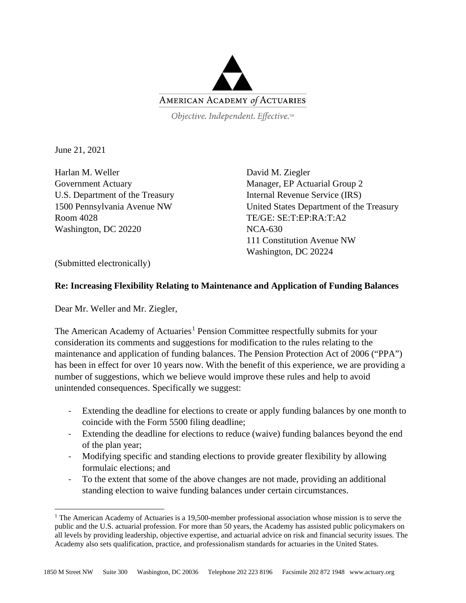

Objective. Independent. Effective.™

June 21, 2021

Harlan M. Weller Government Actuary U.S. Department of the Treasury 1500 Pennsylvania Avenue NW Room 4028 Washington, DC 20220

David M. Ziegler Manager, EP Actuarial Group 2 Internal Revenue Service (IRS) United States Department of the Treasury TE/GE: SE:T:EP:RA:T:A2 NCA-630 111 Constitution Avenue NW Washington, DC 20224

(Submitted electronically)

## **Re: Increasing Flexibility Relating to Maintenance and Application of Funding Balances**

Dear Mr. Weller and Mr. Ziegler,

The American Academy of Actuaries<sup>[1](#page-0-0)</sup> Pension Committee respectfully submits for your consideration its comments and suggestions for modification to the rules relating to the maintenance and application of funding balances. The Pension Protection Act of 2006 ("PPA") has been in effect for over 10 years now. With the benefit of this experience, we are providing a number of suggestions, which we believe would improve these rules and help to avoid unintended consequences. Specifically we suggest:

- Extending the deadline for elections to create or apply funding balances by one month to coincide with the Form 5500 filing deadline;
- Extending the deadline for elections to reduce (waive) funding balances beyond the end of the plan year;
- Modifying specific and standing elections to provide greater flexibility by allowing formulaic elections; and
- To the extent that some of the above changes are not made, providing an additional standing election to waive funding balances under certain circumstances.

<span id="page-0-0"></span><sup>&</sup>lt;sup>1</sup> The American Academy of Actuaries is a 19,500-member professional association whose mission is to serve the public and the U.S. actuarial profession. For more than 50 years, the Academy has assisted public policymakers on all levels by providing leadership, objective expertise, and actuarial advice on risk and financial security issues. The Academy also sets qualification, practice, and professionalism standards for actuaries in the United States.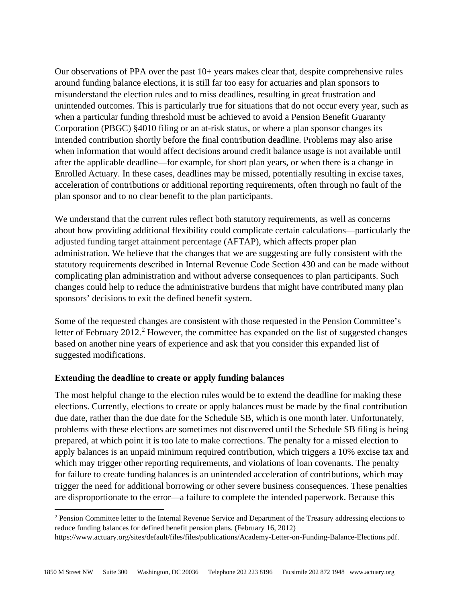Our observations of PPA over the past 10+ years makes clear that, despite comprehensive rules around funding balance elections, it is still far too easy for actuaries and plan sponsors to misunderstand the election rules and to miss deadlines, resulting in great frustration and unintended outcomes. This is particularly true for situations that do not occur every year, such as when a particular funding threshold must be achieved to avoid a Pension Benefit Guaranty Corporation (PBGC) §4010 filing or an at-risk status, or where a plan sponsor changes its intended contribution shortly before the final contribution deadline. Problems may also arise when information that would affect decisions around credit balance usage is not available until after the applicable deadline—for example, for short plan years, or when there is a change in Enrolled Actuary. In these cases, deadlines may be missed, potentially resulting in excise taxes, acceleration of contributions or additional reporting requirements, often through no fault of the plan sponsor and to no clear benefit to the plan participants.

We understand that the current rules reflect both statutory requirements, as well as concerns about how providing additional flexibility could complicate certain calculations—particularly the adjusted funding target attainment percentage (AFTAP), which affects proper plan administration. We believe that the changes that we are suggesting are fully consistent with the statutory requirements described in Internal Revenue Code Section 430 and can be made without complicating plan administration and without adverse consequences to plan participants. Such changes could help to reduce the administrative burdens that might have contributed many plan sponsors' decisions to exit the defined benefit system.

Some of the requested changes are consistent with those requested in the Pension Committee's letter of February [2](#page-1-0)012.<sup>2</sup> However, the committee has expanded on the list of suggested changes based on another nine years of experience and ask that you consider this expanded list of suggested modifications.

### **Extending the deadline to create or apply funding balances**

The most helpful change to the election rules would be to extend the deadline for making these elections. Currently, elections to create or apply balances must be made by the final contribution due date, rather than the due date for the Schedule SB, which is one month later. Unfortunately, problems with these elections are sometimes not discovered until the Schedule SB filing is being prepared, at which point it is too late to make corrections. The penalty for a missed election to apply balances is an unpaid minimum required contribution, which triggers a 10% excise tax and which may trigger other reporting requirements, and violations of loan covenants. The penalty for failure to create funding balances is an unintended acceleration of contributions, which may trigger the need for additional borrowing or other severe business consequences. These penalties are disproportionate to the error—a failure to complete the intended paperwork. Because this

<span id="page-1-0"></span><sup>&</sup>lt;sup>2</sup> Pension Committee letter to the Internal Revenue Service and Department of the Treasury addressing elections to reduce funding balances for defined benefit pension plans. (February 16, 2012)

https://www.actuary.org/sites/default/files/files/publications/Academy-Letter-on-Funding-Balance-Elections.pdf.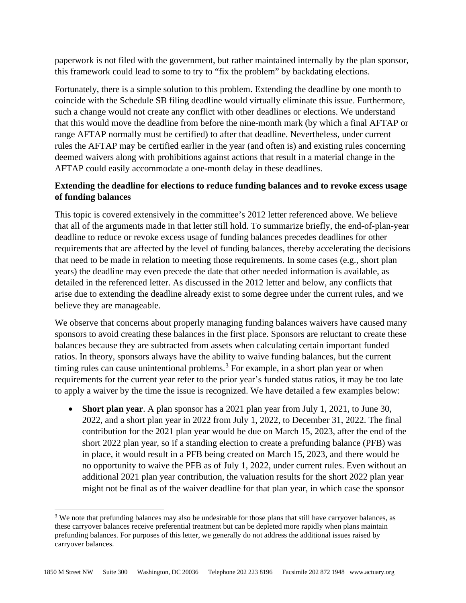paperwork is not filed with the government, but rather maintained internally by the plan sponsor, this framework could lead to some to try to "fix the problem" by backdating elections.

Fortunately, there is a simple solution to this problem. Extending the deadline by one month to coincide with the Schedule SB filing deadline would virtually eliminate this issue. Furthermore, such a change would not create any conflict with other deadlines or elections. We understand that this would move the deadline from before the nine-month mark (by which a final AFTAP or range AFTAP normally must be certified) to after that deadline. Nevertheless, under current rules the AFTAP may be certified earlier in the year (and often is) and existing rules concerning deemed waivers along with prohibitions against actions that result in a material change in the AFTAP could easily accommodate a one-month delay in these deadlines.

# **Extending the deadline for elections to reduce funding balances and to revoke excess usage of funding balances**

This topic is covered extensively in the committee's 2012 letter referenced above. We believe that all of the arguments made in that letter still hold. To summarize briefly, the end-of-plan-year deadline to reduce or revoke excess usage of funding balances precedes deadlines for other requirements that are affected by the level of funding balances, thereby accelerating the decisions that need to be made in relation to meeting those requirements. In some cases (e.g., short plan years) the deadline may even precede the date that other needed information is available, as detailed in the referenced letter. As discussed in the 2012 letter and below, any conflicts that arise due to extending the deadline already exist to some degree under the current rules, and we believe they are manageable.

We observe that concerns about properly managing funding balances waivers have caused many sponsors to avoid creating these balances in the first place. Sponsors are reluctant to create these balances because they are subtracted from assets when calculating certain important funded ratios. In theory, sponsors always have the ability to waive funding balances, but the current timing rules can cause unintentional problems.<sup>[3](#page-2-0)</sup> For example, in a short plan year or when requirements for the current year refer to the prior year's funded status ratios, it may be too late to apply a waiver by the time the issue is recognized. We have detailed a few examples below:

• **Short plan year**. A plan sponsor has a 2021 plan year from July 1, 2021, to June 30, 2022, and a short plan year in 2022 from July 1, 2022, to December 31, 2022. The final contribution for the 2021 plan year would be due on March 15, 2023, after the end of the short 2022 plan year, so if a standing election to create a prefunding balance (PFB) was in place, it would result in a PFB being created on March 15, 2023, and there would be no opportunity to waive the PFB as of July 1, 2022, under current rules. Even without an additional 2021 plan year contribution, the valuation results for the short 2022 plan year might not be final as of the waiver deadline for that plan year, in which case the sponsor

<span id="page-2-0"></span><sup>&</sup>lt;sup>3</sup> We note that prefunding balances may also be undesirable for those plans that still have carryover balances, as these carryover balances receive preferential treatment but can be depleted more rapidly when plans maintain prefunding balances. For purposes of this letter, we generally do not address the additional issues raised by carryover balances.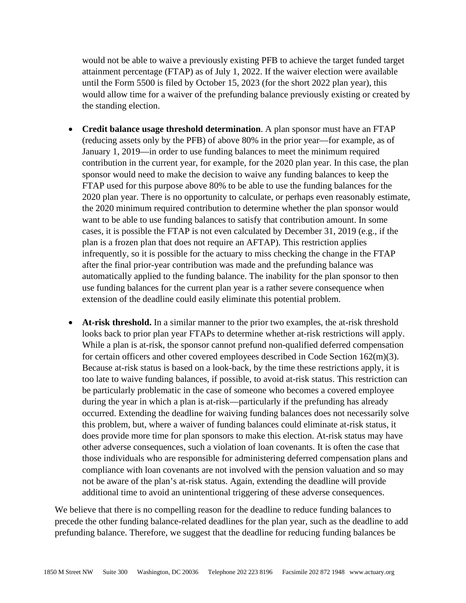would not be able to waive a previously existing PFB to achieve the target funded target attainment percentage (FTAP) as of July 1, 2022. If the waiver election were available until the Form 5500 is filed by October 15, 2023 (for the short 2022 plan year), this would allow time for a waiver of the prefunding balance previously existing or created by the standing election.

- **Credit balance usage threshold determination**. A plan sponsor must have an FTAP (reducing assets only by the PFB) of above 80% in the prior year—for example, as of January 1, 2019—in order to use funding balances to meet the minimum required contribution in the current year, for example, for the 2020 plan year. In this case, the plan sponsor would need to make the decision to waive any funding balances to keep the FTAP used for this purpose above 80% to be able to use the funding balances for the 2020 plan year. There is no opportunity to calculate, or perhaps even reasonably estimate, the 2020 minimum required contribution to determine whether the plan sponsor would want to be able to use funding balances to satisfy that contribution amount. In some cases, it is possible the FTAP is not even calculated by December 31, 2019 (e.g., if the plan is a frozen plan that does not require an AFTAP). This restriction applies infrequently, so it is possible for the actuary to miss checking the change in the FTAP after the final prior-year contribution was made and the prefunding balance was automatically applied to the funding balance. The inability for the plan sponsor to then use funding balances for the current plan year is a rather severe consequence when extension of the deadline could easily eliminate this potential problem.
- **At-risk threshold.** In a similar manner to the prior two examples, the at-risk threshold looks back to prior plan year FTAPs to determine whether at-risk restrictions will apply. While a plan is at-risk, the sponsor cannot prefund non-qualified deferred compensation for certain officers and other covered employees described in Code Section 162(m)(3). Because at-risk status is based on a look-back, by the time these restrictions apply, it is too late to waive funding balances, if possible, to avoid at-risk status. This restriction can be particularly problematic in the case of someone who becomes a covered employee during the year in which a plan is at-risk—particularly if the prefunding has already occurred. Extending the deadline for waiving funding balances does not necessarily solve this problem, but, where a waiver of funding balances could eliminate at-risk status, it does provide more time for plan sponsors to make this election. At-risk status may have other adverse consequences, such a violation of loan covenants. It is often the case that those individuals who are responsible for administering deferred compensation plans and compliance with loan covenants are not involved with the pension valuation and so may not be aware of the plan's at-risk status. Again, extending the deadline will provide additional time to avoid an unintentional triggering of these adverse consequences.

We believe that there is no compelling reason for the deadline to reduce funding balances to precede the other funding balance-related deadlines for the plan year, such as the deadline to add prefunding balance. Therefore, we suggest that the deadline for reducing funding balances be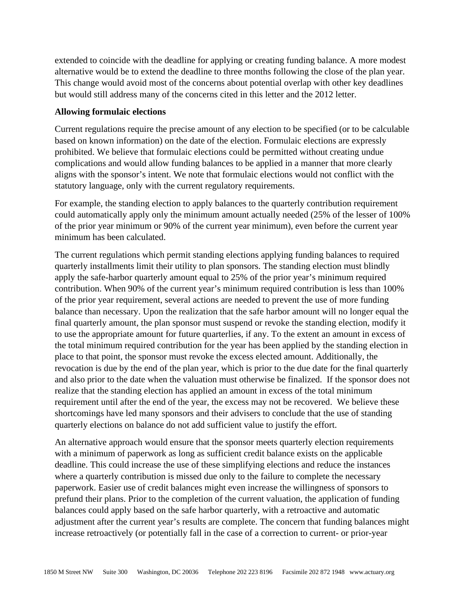extended to coincide with the deadline for applying or creating funding balance. A more modest alternative would be to extend the deadline to three months following the close of the plan year. This change would avoid most of the concerns about potential overlap with other key deadlines but would still address many of the concerns cited in this letter and the 2012 letter.

### **Allowing formulaic elections**

Current regulations require the precise amount of any election to be specified (or to be calculable based on known information) on the date of the election. Formulaic elections are expressly prohibited. We believe that formulaic elections could be permitted without creating undue complications and would allow funding balances to be applied in a manner that more clearly aligns with the sponsor's intent. We note that formulaic elections would not conflict with the statutory language, only with the current regulatory requirements.

For example, the standing election to apply balances to the quarterly contribution requirement could automatically apply only the minimum amount actually needed (25% of the lesser of 100% of the prior year minimum or 90% of the current year minimum), even before the current year minimum has been calculated.

The current regulations which permit standing elections applying funding balances to required quarterly installments limit their utility to plan sponsors. The standing election must blindly apply the safe-harbor quarterly amount equal to 25% of the prior year's minimum required contribution. When 90% of the current year's minimum required contribution is less than 100% of the prior year requirement, several actions are needed to prevent the use of more funding balance than necessary. Upon the realization that the safe harbor amount will no longer equal the final quarterly amount, the plan sponsor must suspend or revoke the standing election, modify it to use the appropriate amount for future quarterlies, if any. To the extent an amount in excess of the total minimum required contribution for the year has been applied by the standing election in place to that point, the sponsor must revoke the excess elected amount. Additionally, the revocation is due by the end of the plan year, which is prior to the due date for the final quarterly and also prior to the date when the valuation must otherwise be finalized. If the sponsor does not realize that the standing election has applied an amount in excess of the total minimum requirement until after the end of the year, the excess may not be recovered. We believe these shortcomings have led many sponsors and their advisers to conclude that the use of standing quarterly elections on balance do not add sufficient value to justify the effort.

An alternative approach would ensure that the sponsor meets quarterly election requirements with a minimum of paperwork as long as sufficient credit balance exists on the applicable deadline. This could increase the use of these simplifying elections and reduce the instances where a quarterly contribution is missed due only to the failure to complete the necessary paperwork. Easier use of credit balances might even increase the willingness of sponsors to prefund their plans. Prior to the completion of the current valuation, the application of funding balances could apply based on the safe harbor quarterly, with a retroactive and automatic adjustment after the current year's results are complete. The concern that funding balances might increase retroactively (or potentially fall in the case of a correction to current- or prior-year